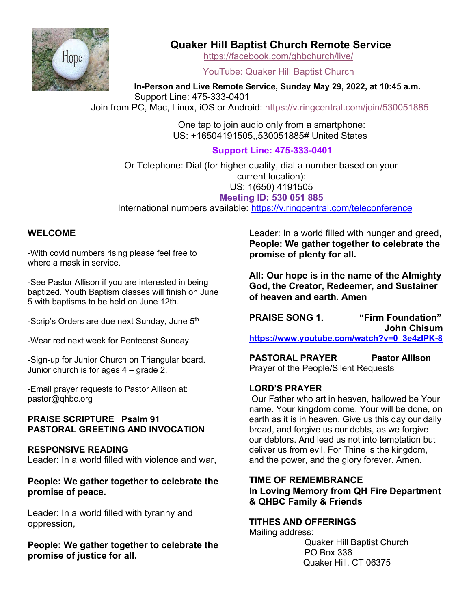

# **Quaker Hill Baptist Church Remote Service**

https://facebook.com/qhbchurch/live/

YouTube: Quaker Hill Baptist Church

 **In-Person and Live Remote Service, Sunday May 29, 2022, at 10:45 a.m.** Support Line: 475-333-0401 Join from PC, Mac, Linux, iOS or Android: https://v.ringcentral.com/join/530051885

> One tap to join audio only from a smartphone: US: +16504191505,,530051885# United States **Support Line: 475-333-0401**

 Or Telephone: Dial (for higher quality, dial a number based on your current location): US: 1(650) 4191505 **Meeting ID: 530 051 885** International numbers available: https://v.ringcentral.com/teleconference

# **WELCOME**

-With covid numbers rising please feel free to where a mask in service.

-See Pastor Allison if you are interested in being baptized. Youth Baptism classes will finish on June 5 with baptisms to be held on June 12th.

-Scrip's Orders are due next Sunday, June 5<sup>th</sup>

-Wear red next week for Pentecost Sunday

-Sign-up for Junior Church on Triangular board. Junior church is for ages 4 – grade 2.

-Email prayer requests to Pastor Allison at: pastor@qhbc.org

# **PRAISE SCRIPTURE Psalm 91 PASTORAL GREETING AND INVOCATION**

### **RESPONSIVE READING**

Leader: In a world filled with violence and war,

**People: We gather together to celebrate the promise of peace.**

Leader: In a world filled with tyranny and oppression,

**People: We gather together to celebrate the promise of justice for all.**

Leader: In a world filled with hunger and greed, **People: We gather together to celebrate the promise of plenty for all.**

**All: Our hope is in the name of the Almighty God, the Creator, Redeemer, and Sustainer of heaven and earth. Amen**

**PRAISE SONG 1. "Firm Foundation" John Chisum https://www.youtube.com/watch?v=0\_3e4zIPK-8**

**PASTORAL PRAYER Pastor Allison** Prayer of the People/Silent Requests

### **LORD'S PRAYER**

Our Father who art in heaven, hallowed be Your name. Your kingdom come, Your will be done, on earth as it is in heaven. Give us this day our daily bread, and forgive us our debts, as we forgive our debtors. And lead us not into temptation but deliver us from evil. For Thine is the kingdom, and the power, and the glory forever. Amen.

# **TIME OF REMEMBRANCE In Loving Memory from QH Fire Department & QHBC Family & Friends**

# **TITHES AND OFFERINGS**

Mailing address:

Quaker Hill Baptist Church PO Box 336 Quaker Hill, CT 06375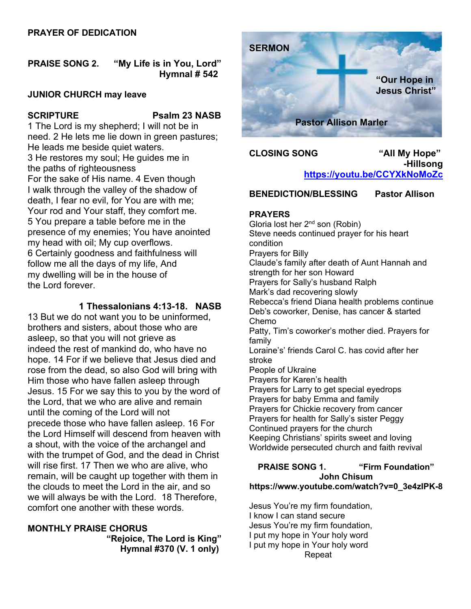# **PRAYER OF DEDICATION**

# **PRAISE SONG 2. "My Life is in You, Lord" Hymnal # 542**

#### **JUNIOR CHURCH may leave**

#### **SCRIPTURE Psalm 23 NASB**

1 The Lord is my shepherd; I will not be in need. 2 He lets me lie down in green pastures; He leads me beside quiet waters. 3 He restores my soul; He guides me in the paths of righteousness For the sake of His name. 4 Even though I walk through the valley of the shadow of death, I fear no evil, for You are with me; Your rod and Your staff, they comfort me. 5 You prepare a table before me in the presence of my enemies; You have anointed my head with oil; My cup overflows. 6 Certainly goodness and faithfulness will follow me all the days of my life, And my dwelling will be in the house of the Lord forever.

**1 Thessalonians 4:13-18. NASB**

13 But we do not want you to be uninformed, brothers and sisters, about those who are asleep, so that you will not grieve as indeed the rest of mankind do, who have no hope. 14 For if we believe that Jesus died and rose from the dead, so also God will bring with Him those who have fallen asleep through Jesus. 15 For we say this to you by the word of the Lord, that we who are alive and remain until the coming of the Lord will not precede those who have fallen asleep. 16 For the Lord Himself will descend from heaven with a shout, with the voice of the archangel and with the trumpet of God, and the dead in Christ will rise first. 17 Then we who are alive, who remain, will be caught up together with them in the clouds to meet the Lord in the air, and so we will always be with the Lord. 18 Therefore, comfort one another with these words.

### **MONTHLY PRAISE CHORUS**

**"Rejoice, The Lord is King" Hymnal #370 (V. 1 only)**



**CLOSING SONG "All My Hope" -Hillsong https://youtu.be/CCYXkNoMoZc**

**BENEDICTION/BLESSING Pastor Allison**

### **PRAYERS**

Gloria lost her 2nd son (Robin) Steve needs continued prayer for his heart condition Prayers for Billy Claude's family after death of Aunt Hannah and strength for her son Howard Prayers for Sally's husband Ralph Mark's dad recovering slowly Rebecca's friend Diana health problems continue Deb's coworker, Denise, has cancer & started Chemo Patty, Tim's coworker's mother died. Prayers for family Loraine's' friends Carol C. has covid after her stroke People of Ukraine Prayers for Karen's health Prayers for Larry to get special eyedrops Prayers for baby Emma and family Prayers for Chickie recovery from cancer Prayers for health for Sally's sister Peggy Continued prayers for the church Keeping Christians' spirits sweet and loving Worldwide persecuted church and faith revival

#### **PRAISE SONG 1. "Firm Foundation" John Chisum https://www.youtube.com/watch?v=0\_3e4zIPK-8**

Jesus You're my firm foundation, I know I can stand secure Jesus You're my firm foundation, I put my hope in Your holy word I put my hope in Your holy word Repeat